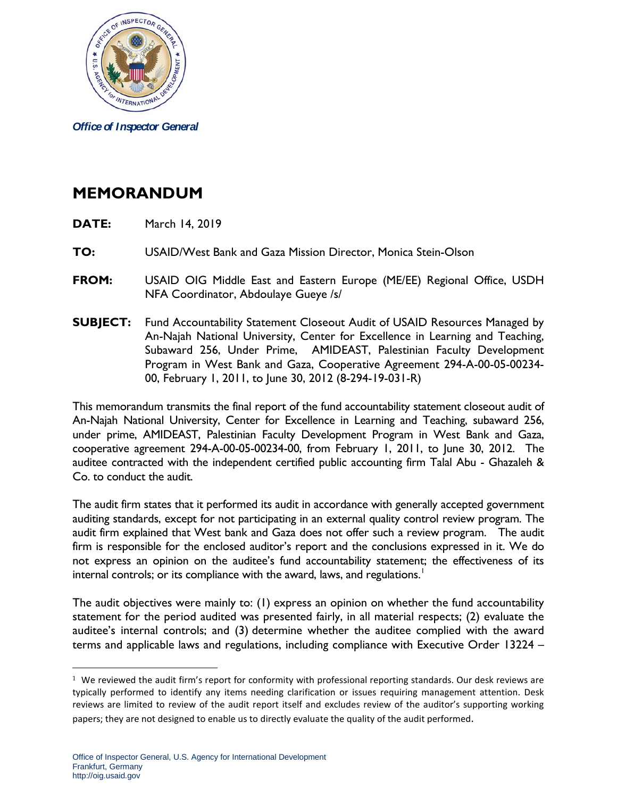

*Office of Inspector General*

## **MEMORANDUM**

- **DATE:** March 14, 2019
- **TO:** USAID/West Bank and Gaza Mission Director, Monica Stein-Olson
- **FROM:** USAID OIG Middle East and Eastern Europe (ME/EE) Regional Office, USDH NFA Coordinator, Abdoulaye Gueye /s/
- **SUBJECT:** Fund Accountability Statement Closeout Audit of USAID Resources Managed by An-Najah National University, Center for Excellence in Learning and Teaching, Subaward 256, Under Prime, AMIDEAST, Palestinian Faculty Development Program in West Bank and Gaza, Cooperative Agreement 294-A-00-05-00234- 00, February 1, 2011, to June 30, 2012 (8-294-19-031-R)

This memorandum transmits the final report of the fund accountability statement closeout audit of An-Najah National University, Center for Excellence in Learning and Teaching, subaward 256, under prime, AMIDEAST, Palestinian Faculty Development Program in West Bank and Gaza, cooperative agreement 294-A-00-05-00234-00, from February 1, 2011, to June 30, 2012. The auditee contracted with the independent certified public accounting firm Talal Abu - Ghazaleh & Co. to conduct the audit.

The audit firm states that it performed its audit in accordance with generally accepted government auditing standards, except for not participating in an external quality control review program. The audit firm explained that West bank and Gaza does not offer such a review program. The audit firm is responsible for the enclosed auditor's report and the conclusions expressed in it. We do not express an opinion on the auditee's fund accountability statement; the effectiveness of its internal controls; or its compliance with the award, laws, and regulations.<sup>[1](#page-0-0)</sup>

The audit objectives were mainly to: (1) express an opinion on whether the fund accountability statement for the period audited was presented fairly, in all material respects; (2) evaluate the auditee's internal controls; and (3) determine whether the auditee complied with the award terms and applicable laws and regulations, including compliance with Executive Order 13224 –

 $\overline{a}$ 

<span id="page-0-0"></span> $1$  We reviewed the audit firm's report for conformity with professional reporting standards. Our desk reviews are typically performed to identify any items needing clarification or issues requiring management attention. Desk reviews are limited to review of the audit report itself and excludes review of the auditor's supporting working papers; they are not designed to enable us to directly evaluate the quality of the audit performed.